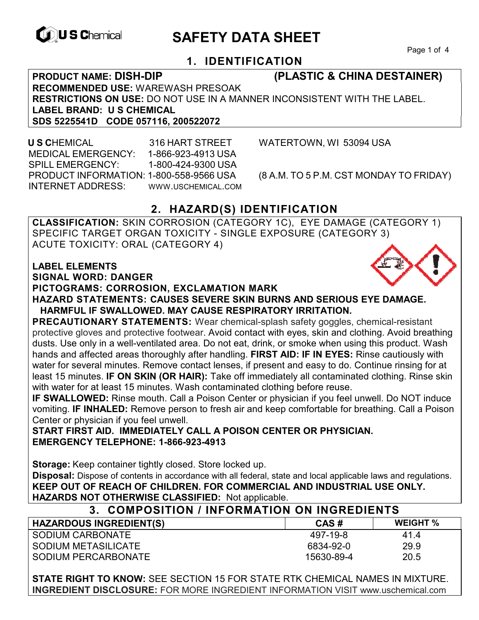

# **EXAGREM** SAFETY DATA SHEET

Page 1 of 4

## **1. IDENTIFICATION**

## **PRODUCT NAME: DISH-DIP (PLASTIC & CHINA DESTAINER)**

**RECOMMENDED USE:** WAREWASH PRESOAK **RESTRICTIONS ON USE:** DO NOT USE IN A MANNER INCONSISTENT WITH THE LABEL. **LABEL BRAND: U S CHEMICAL SDS 5225541D CODE 057116, 200522072** 

 **U S C**HEMICAL 316 HART STREET WATERTOWN, WI 53094 USA MEDICAL EMERGENCY: 1-866-923-4913 USA SPILL EMERGENCY: 1-800-424-9300 USA PRODUCT INFORMATION: 1-800-558-9566 USA (8 A.M. TO 5 P.M. CST MONDAY TO FRIDAY) INTERNET ADDRESS: WWW.USCHEMICAL.COM

## **2. HAZARD(S) IDENTIFICATION**

**CLASSIFICATION:** SKIN CORROSION (CATEGORY 1C), EYE DAMAGE (CATEGORY 1) SPECIFIC TARGET ORGAN TOXICITY - SINGLE EXPOSURE (CATEGORY 3) ACUTE TOXICITY: ORAL (CATEGORY 4)

#### **LABEL ELEMENTS**

**SIGNAL WORD: DANGER**

**PICTOGRAMS: CORROSION, EXCLAMATION MARK**



**PRECAUTIONARY STATEMENTS:** Wear chemical-splash safety goggles, chemical-resistant protective gloves and protective footwear. Avoid contact with eyes, skin and clothing. Avoid breathing dusts. Use only in a well-ventilated area. Do not eat, drink, or smoke when using this product. Wash hands and affected areas thoroughly after handling. **FIRST AID: IF IN EYES:** Rinse cautiously with water for several minutes. Remove contact lenses, if present and easy to do. Continue rinsing for at least 15 minutes. **IF ON SKIN (OR HAIR):** Take off immediately all contaminated clothing. Rinse skin with water for at least 15 minutes. Wash contaminated clothing before reuse.

**IF SWALLOWED:** Rinse mouth. Call a Poison Center or physician if you feel unwell. Do NOT induce vomiting. **IF INHALED:** Remove person to fresh air and keep comfortable for breathing. Call a Poison Center or physician if you feel unwell.

**START FIRST AID. IMMEDIATELY CALL A POISON CENTER OR PHYSICIAN. EMERGENCY TELEPHONE: 1-866-923-4913** 

**Storage:** Keep container tightly closed. Store locked up. **Disposal:** Dispose of contents in accordance with all federal, state and local applicable laws and regulations. **KEEP OUT OF REACH OF CHILDREN. FOR COMMERCIAL AND INDUSTRIAL USE ONLY. HAZARDS NOT OTHERWISE CLASSIFIED:** Not applicable.

#### **3. COMPOSITION / INFORMATION ON INGREDIENTS HAZARDOUS INGREDIENT(S) CAS # WEIGHT %** SODIUM CARBONATE SODIUM METASILICATE SODIUM PERCARBONATE 497-19-8 6834-92-0 15630-89-4 41.4 29.9 20.5

**STATE RIGHT TO KNOW:** SEE SECTION 15 FOR STATE RTK CHEMICAL NAMES IN MIXTURE. **INGREDIENT DISCLOSURE:** FOR MORE INGREDIENT INFORMATION VISIT www.uschemical.com

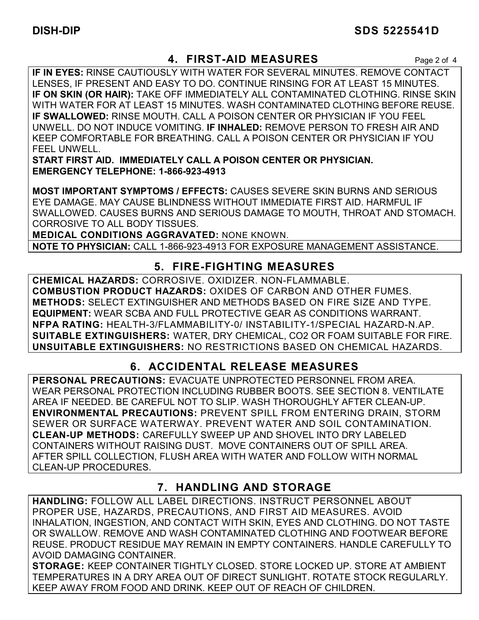## **4. FIRST-AID MEASURES** Page 2 of 4

**IF IN EYES:** RINSE CAUTIOUSLY WITH WATER FOR SEVERAL MINUTES. REMOVE CONTACT LENSES, IF PRESENT AND EASY TO DO. CONTINUE RINSING FOR AT LEAST 15 MINUTES. **IF ON SKIN (OR HAIR):** TAKE OFF IMMEDIATELY ALL CONTAMINATED CLOTHING. RINSE SKIN WITH WATER FOR AT LEAST 15 MINUTES. WASH CONTAMINATED CLOTHING BEFORE REUSE. **IF SWALLOWED:** RINSE MOUTH. CALL A POISON CENTER OR PHYSICIAN IF YOU FEEL UNWELL. DO NOT INDUCE VOMITING. **IF INHALED:** REMOVE PERSON TO FRESH AIR AND KEEP COMFORTABLE FOR BREATHING. CALL A POISON CENTER OR PHYSICIAN IF YOU FEEL UNWELL.

**START FIRST AID. IMMEDIATELY CALL A POISON CENTER OR PHYSICIAN. EMERGENCY TELEPHONE: 1-866-923-4913**

**MOST IMPORTANT SYMPTOMS / EFFECTS:** CAUSES SEVERE SKIN BURNS AND SERIOUS EYE DAMAGE. MAY CAUSE BLINDNESS WITHOUT IMMEDIATE FIRST AID. HARMFUL IF SWALLOWED. CAUSES BURNS AND SERIOUS DAMAGE TO MOUTH, THROAT AND STOMACH. CORROSIVE TO ALL BODY TISSUES.

**MEDICAL CONDITIONS AGGRAVATED:** NONE KNOWN.

**NOTE TO PHYSICIAN:** CALL 1-866-923-4913 FOR EXPOSURE MANAGEMENT ASSISTANCE.

## **5. FIRE-FIGHTING MEASURES**

**CHEMICAL HAZARDS:** CORROSIVE. OXIDIZER. NON-FLAMMABLE. **COMBUSTION PRODUCT HAZARDS:** OXIDES OF CARBON AND OTHER FUMES. **METHODS:** SELECT EXTINGUISHER AND METHODS BASED ON FIRE SIZE AND TYPE. **EQUIPMENT:** WEAR SCBA AND FULL PROTECTIVE GEAR AS CONDITIONS WARRANT. **NFPA RATING:** HEALTH-3/FLAMMABILITY-0/ INSTABILITY-1/SPECIAL HAZARD-N.AP. **SUITABLE EXTINGUISHERS:** WATER, DRY CHEMICAL, CO2 OR FOAM SUITABLE FOR FIRE. **UNSUITABLE EXTINGUISHERS:** NO RESTRICTIONS BASED ON CHEMICAL HAZARDS.

## **6. ACCIDENTAL RELEASE MEASURES**

**PERSONAL PRECAUTIONS:** EVACUATE UNPROTECTED PERSONNEL FROM AREA. WEAR PERSONAL PROTECTION INCLUDING RUBBER BOOTS. SEE SECTION 8. VENTILATE AREA IF NEEDED. BE CAREFUL NOT TO SLIP. WASH THOROUGHLY AFTER CLEAN-UP. **ENVIRONMENTAL PRECAUTIONS:** PREVENT SPILL FROM ENTERING DRAIN, STORM SEWER OR SURFACE WATERWAY. PREVENT WATER AND SOIL CONTAMINATION. **CLEAN-UP METHODS:** CAREFULLY SWEEP UP AND SHOVEL INTO DRY LABELED CONTAINERS WITHOUT RAISING DUST. MOVE CONTAINERS OUT OF SPILL AREA. AFTER SPILL COLLECTION, FLUSH AREA WITH WATER AND FOLLOW WITH NORMAL CLEAN-UP PROCEDURES.

## **7. HANDLING AND STORAGE**

**HANDLING:** FOLLOW ALL LABEL DIRECTIONS. INSTRUCT PERSONNEL ABOUT PROPER USE, HAZARDS, PRECAUTIONS, AND FIRST AID MEASURES. AVOID INHALATION, INGESTION, AND CONTACT WITH SKIN, EYES AND CLOTHING. DO NOT TASTE OR SWALLOW. REMOVE AND WASH CONTAMINATED CLOTHING AND FOOTWEAR BEFORE REUSE. PRODUCT RESIDUE MAY REMAIN IN EMPTY CONTAINERS. HANDLE CAREFULLY TO AVOID DAMAGING CONTAINER.

**STORAGE:** KEEP CONTAINER TIGHTLY CLOSED. STORE LOCKED UP. STORE AT AMBIENT TEMPERATURES IN A DRY AREA OUT OF DIRECT SUNLIGHT. ROTATE STOCK REGULARLY. KEEP AWAY FROM FOOD AND DRINK. KEEP OUT OF REACH OF CHILDREN.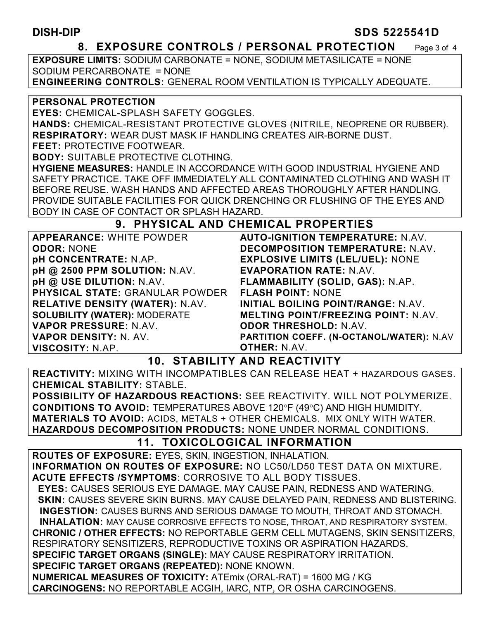#### **DISH-DIP SDS 5225541D**

#### **8. EXPOSURE CONTROLS / PERSONAL PROTECTION** Page 3 of 4

**EXPOSURE LIMITS:** SODIUM CARBONATE = NONE, SODIUM METASILICATE = NONE SODIUM PERCARBONATE = NONE **ENGINEERING CONTROLS:** GENERAL ROOM VENTILATION IS TYPICALLY ADEQUATE.

#### **PERSONAL PROTECTION**

**EYES:** CHEMICAL-SPLASH SAFETY GOGGLES.

**HANDS:** CHEMICAL-RESISTANT PROTECTIVE GLOVES (NITRILE, NEOPRENE OR RUBBER). **RESPIRATORY:** WEAR DUST MASK IF HANDLING CREATES AIR-BORNE DUST.

**FEET:** PROTECTIVE FOOTWEAR.

**BODY:** SUITABLE PROTECTIVE CLOTHING.

**HYGIENE MEASURES:** HANDLE IN ACCORDANCE WITH GOOD INDUSTRIAL HYGIENE AND SAFETY PRACTICE. TAKE OFF IMMEDIATELY ALL CONTAMINATED CLOTHING AND WASH IT BEFORE REUSE. WASH HANDS AND AFFECTED AREAS THOROUGHLY AFTER HANDLING. PROVIDE SUITABLE FACILITIES FOR QUICK DRENCHING OR FLUSHING OF THE EYES AND BODY IN CASE OF CONTACT OR SPLASH HAZARD.

#### **9. PHYSICAL AND CHEMICAL PROPERTIES**

| <b>APPEARANCE: WHITE POWDER</b>        | <b>AUTO-IGNITION TEMPERATURE: N.AV.</b>    |
|----------------------------------------|--------------------------------------------|
| <b>ODOR: NONE</b>                      | <b>DECOMPOSITION TEMPERATURE: N.AV.</b>    |
| <b>pH CONCENTRATE: N.AP.</b>           | <b>EXPLOSIVE LIMITS (LEL/UEL): NONE</b>    |
| pH @ 2500 PPM SOLUTION: N.AV.          | <b>EVAPORATION RATE: N.AV.</b>             |
| pH @ USE DILUTION: N.AV.               | FLAMMABILITY (SOLID, GAS): N.AP.           |
| <b>PHYSICAL STATE: GRANULAR POWDER</b> | <b>FLASH POINT: NONE</b>                   |
| <b>RELATIVE DENSITY (WATER): N.AV.</b> | INITIAL BOILING POINT/RANGE: N.AV.         |
| <b>SOLUBILITY (WATER): MODERATE</b>    | <b>MELTING POINT/FREEZING POINT: N.AV.</b> |
| VAPOR PRESSURE: N.AV.                  | <b>ODOR THRESHOLD: N.AV.</b>               |
| VAPOR DENSITY: N. AV.                  | PARTITION COEFF. (N-OCTANOL/WATER): N.AV   |
| <b>VISCOSITY: N.AP.</b>                | <b>OTHER: N.AV.</b>                        |

#### **10. STABILITY AND REACTIVITY**

**REACTIVITY:** MIXING WITH INCOMPATIBLES CAN RELEASE HEAT + HAZARDOUS GASES. **CHEMICAL STABILITY:** STABLE.

**POSSIBILITY OF HAZARDOUS REACTIONS:** SEE REACTIVITY. WILL NOT POLYMERIZE. **CONDITIONS TO AVOID: TEMPERATURES ABOVE 120°F (49°C) AND HIGH HUMIDITY. MATERIALS TO AVOID:** ACIDS, METALS + OTHER CHEMICALS. MIX ONLY WITH WATER. **HAZARDOUS DECOMPOSITION PRODUCTS:** NONE UNDER NORMAL CONDITIONS.

## **11. TOXICOLOGICAL INFORMATION**

**ROUTES OF EXPOSURE:** EYES, SKIN, INGESTION, INHALATION. **INFORMATION ON ROUTES OF EXPOSURE:** NO LC50/LD50 TEST DATA ON MIXTURE. **ACUTE EFFECTS /SYMPTOMS**: CORROSIVE TO ALL BODY TISSUES.

 **EYES:** CAUSES SERIOUS EYE DAMAGE. MAY CAUSE PAIN, REDNESS AND WATERING.  **SKIN:** CAUSES SEVERE SKIN BURNS. MAY CAUSE DELAYED PAIN, REDNESS AND BLISTERING. **INGESTION:** CAUSES BURNS AND SERIOUS DAMAGE TO MOUTH, THROAT AND STOMACH. **INHALATION:** MAY CAUSE CORROSIVE EFFECTS TO NOSE, THROAT, AND RESPIRATORY SYSTEM. **CHRONIC / OTHER EFFECTS:** NO REPORTABLE GERM CELL MUTAGENS, SKIN SENSITIZERS, RESPIRATORY SENSITIZERS, REPRODUCTIVE TOXINS OR ASPIRATION HAZARDS. **SPECIFIC TARGET ORGANS (SINGLE):** MAY CAUSE RESPIRATORY IRRITATION. **SPECIFIC TARGET ORGANS (REPEATED):** NONE KNOWN.

**NUMERICAL MEASURES OF TOXICITY:** ATEmix (ORAL-RAT) = 1600 MG / KG **CARCINOGENS:** NO REPORTABLE ACGIH, IARC, NTP, OR OSHA CARCINOGENS.